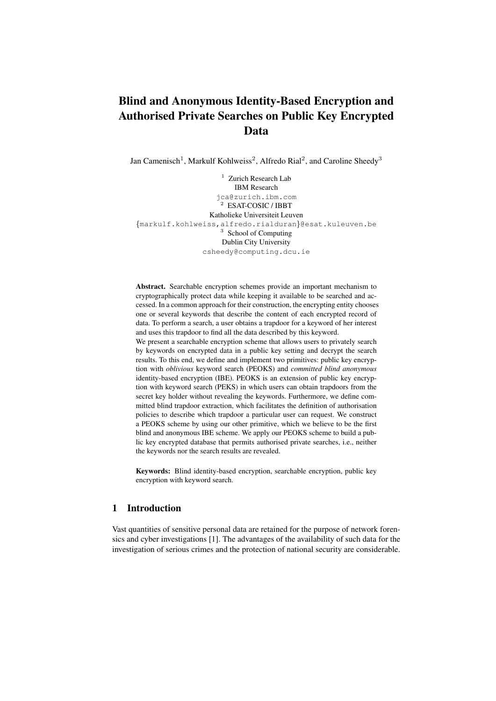# Blind and Anonymous Identity-Based Encryption and Authorised Private Searches on Public Key Encrypted Data

Jan Camenisch<sup>1</sup>, Markulf Kohlweiss<sup>2</sup>, Alfredo Rial<sup>2</sup>, and Caroline Sheedy<sup>3</sup>

<sup>1</sup> Zurich Research Lab IBM Research jca@zurich.ibm.com <sup>2</sup> ESAT-COSIC / IBBT Katholieke Universiteit Leuven {markulf.kohlweiss,alfredo.rialduran}@esat.kuleuven.be <sup>3</sup> School of Computing Dublin City University csheedy@computing.dcu.ie

Abstract. Searchable encryption schemes provide an important mechanism to cryptographically protect data while keeping it available to be searched and accessed. In a common approach for their construction, the encrypting entity chooses one or several keywords that describe the content of each encrypted record of data. To perform a search, a user obtains a trapdoor for a keyword of her interest and uses this trapdoor to find all the data described by this keyword. We present a searchable encryption scheme that allows users to privately search by keywords on encrypted data in a public key setting and decrypt the search results. To this end, we define and implement two primitives: public key encryption with *oblivious* keyword search (PEOKS) and *committed blind anonymous* identity-based encryption (IBE). PEOKS is an extension of public key encryption with keyword search (PEKS) in which users can obtain trapdoors from the secret key holder without revealing the keywords. Furthermore, we define committed blind trapdoor extraction, which facilitates the definition of authorisation policies to describe which trapdoor a particular user can request. We construct a PEOKS scheme by using our other primitive, which we believe to be the first blind and anonymous IBE scheme. We apply our PEOKS scheme to build a public key encrypted database that permits authorised private searches, i.e., neither the keywords nor the search results are revealed.

Keywords: Blind identity-based encryption, searchable encryption, public key encryption with keyword search.

# 1 Introduction

Vast quantities of sensitive personal data are retained for the purpose of network forensics and cyber investigations [1]. The advantages of the availability of such data for the investigation of serious crimes and the protection of national security are considerable.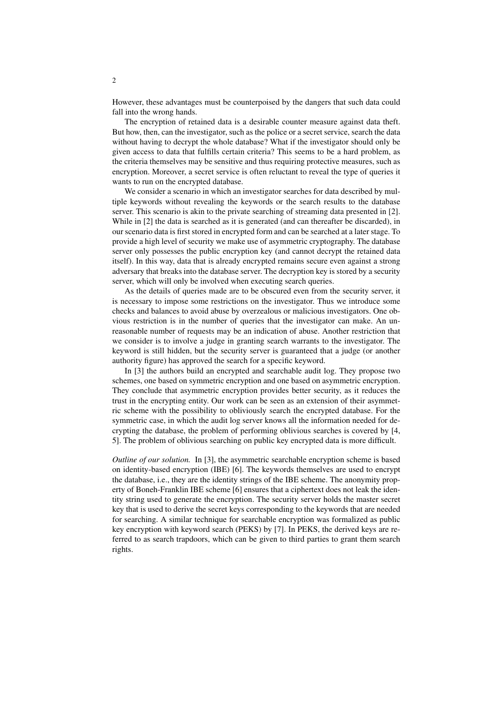However, these advantages must be counterpoised by the dangers that such data could fall into the wrong hands.

The encryption of retained data is a desirable counter measure against data theft. But how, then, can the investigator, such as the police or a secret service, search the data without having to decrypt the whole database? What if the investigator should only be given access to data that fulfills certain criteria? This seems to be a hard problem, as the criteria themselves may be sensitive and thus requiring protective measures, such as encryption. Moreover, a secret service is often reluctant to reveal the type of queries it wants to run on the encrypted database.

We consider a scenario in which an investigator searches for data described by multiple keywords without revealing the keywords or the search results to the database server. This scenario is akin to the private searching of streaming data presented in [2]. While in [2] the data is searched as it is generated (and can thereafter be discarded), in our scenario data is first stored in encrypted form and can be searched at a later stage. To provide a high level of security we make use of asymmetric cryptography. The database server only possesses the public encryption key (and cannot decrypt the retained data itself). In this way, data that is already encrypted remains secure even against a strong adversary that breaks into the database server. The decryption key is stored by a security server, which will only be involved when executing search queries.

As the details of queries made are to be obscured even from the security server, it is necessary to impose some restrictions on the investigator. Thus we introduce some checks and balances to avoid abuse by overzealous or malicious investigators. One obvious restriction is in the number of queries that the investigator can make. An unreasonable number of requests may be an indication of abuse. Another restriction that we consider is to involve a judge in granting search warrants to the investigator. The keyword is still hidden, but the security server is guaranteed that a judge (or another authority figure) has approved the search for a specific keyword.

In [3] the authors build an encrypted and searchable audit log. They propose two schemes, one based on symmetric encryption and one based on asymmetric encryption. They conclude that asymmetric encryption provides better security, as it reduces the trust in the encrypting entity. Our work can be seen as an extension of their asymmetric scheme with the possibility to obliviously search the encrypted database. For the symmetric case, in which the audit log server knows all the information needed for decrypting the database, the problem of performing oblivious searches is covered by [4, 5]. The problem of oblivious searching on public key encrypted data is more difficult.

*Outline of our solution.* In [3], the asymmetric searchable encryption scheme is based on identity-based encryption (IBE) [6]. The keywords themselves are used to encrypt the database, i.e., they are the identity strings of the IBE scheme. The anonymity property of Boneh-Franklin IBE scheme [6] ensures that a ciphertext does not leak the identity string used to generate the encryption. The security server holds the master secret key that is used to derive the secret keys corresponding to the keywords that are needed for searching. A similar technique for searchable encryption was formalized as public key encryption with keyword search (PEKS) by [7]. In PEKS, the derived keys are referred to as search trapdoors, which can be given to third parties to grant them search rights.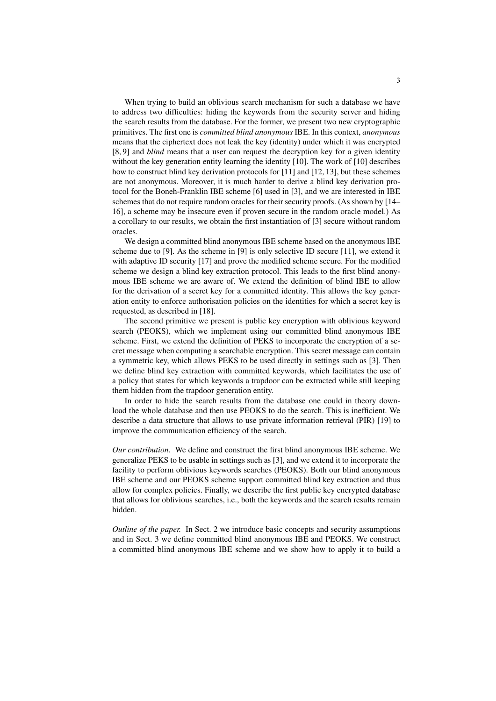When trying to build an oblivious search mechanism for such a database we have to address two difficulties: hiding the keywords from the security server and hiding the search results from the database. For the former, we present two new cryptographic primitives. The first one is *committed blind anonymous* IBE. In this context, *anonymous* means that the ciphertext does not leak the key (identity) under which it was encrypted [8, 9] and *blind* means that a user can request the decryption key for a given identity without the key generation entity learning the identity [10]. The work of [10] describes how to construct blind key derivation protocols for [11] and [12, 13], but these schemes are not anonymous. Moreover, it is much harder to derive a blind key derivation protocol for the Boneh-Franklin IBE scheme [6] used in [3], and we are interested in IBE schemes that do not require random oracles for their security proofs. (As shown by [14– 16], a scheme may be insecure even if proven secure in the random oracle model.) As a corollary to our results, we obtain the first instantiation of [3] secure without random oracles.

We design a committed blind anonymous IBE scheme based on the anonymous IBE scheme due to [9]. As the scheme in [9] is only selective ID secure [11], we extend it with adaptive ID security [17] and prove the modified scheme secure. For the modified scheme we design a blind key extraction protocol. This leads to the first blind anonymous IBE scheme we are aware of. We extend the definition of blind IBE to allow for the derivation of a secret key for a committed identity. This allows the key generation entity to enforce authorisation policies on the identities for which a secret key is requested, as described in [18].

The second primitive we present is public key encryption with oblivious keyword search (PEOKS), which we implement using our committed blind anonymous IBE scheme. First, we extend the definition of PEKS to incorporate the encryption of a secret message when computing a searchable encryption. This secret message can contain a symmetric key, which allows PEKS to be used directly in settings such as [3]. Then we define blind key extraction with committed keywords, which facilitates the use of a policy that states for which keywords a trapdoor can be extracted while still keeping them hidden from the trapdoor generation entity.

In order to hide the search results from the database one could in theory download the whole database and then use PEOKS to do the search. This is inefficient. We describe a data structure that allows to use private information retrieval (PIR) [19] to improve the communication efficiency of the search.

*Our contribution.* We define and construct the first blind anonymous IBE scheme. We generalize PEKS to be usable in settings such as [3], and we extend it to incorporate the facility to perform oblivious keywords searches (PEOKS). Both our blind anonymous IBE scheme and our PEOKS scheme support committed blind key extraction and thus allow for complex policies. Finally, we describe the first public key encrypted database that allows for oblivious searches, i.e., both the keywords and the search results remain hidden.

*Outline of the paper.* In Sect. 2 we introduce basic concepts and security assumptions and in Sect. 3 we define committed blind anonymous IBE and PEOKS. We construct a committed blind anonymous IBE scheme and we show how to apply it to build a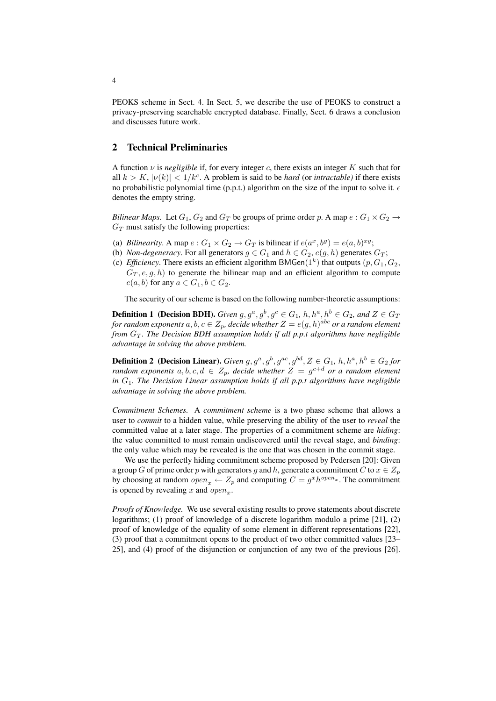PEOKS scheme in Sect. 4. In Sect. 5, we describe the use of PEOKS to construct a privacy-preserving searchable encrypted database. Finally, Sect. 6 draws a conclusion and discusses future work.

### 2 Technical Preliminaries

A function  $\nu$  is *negligible* if, for every integer c, there exists an integer K such that for all  $k > K$ ,  $|\nu(k)| < 1/k^c$ . A problem is said to be *hard* (or *intractable*) if there exists no probabilistic polynomial time (p.p.t.) algorithm on the size of the input to solve it.  $\epsilon$ denotes the empty string.

*Bilinear Maps.* Let  $G_1, G_2$  and  $G_T$  be groups of prime order p. A map  $e: G_1 \times G_2 \rightarrow$  $G_T$  must satisfy the following properties:

- (a) *Bilinearity*. A map  $e: G_1 \times G_2 \rightarrow G_T$  is bilinear if  $e(a^x, b^y) = e(a, b)^{xy}$ ;
- (b) *Non-degeneracy*. For all generators  $g \in G_1$  and  $h \in G_2$ ,  $e(g, h)$  generates  $G_T$ ;
- (c) *Efficiency*. There exists an efficient algorithm BMGen( $1^k$ ) that outputs ( $p$ ,  $G_1$ ,  $G_2$ ,  $G_T, e, g, h$ ) to generate the bilinear map and an efficient algorithm to compute  $e(a, b)$  for any  $a \in G_1, b \in G_2$ .

The security of our scheme is based on the following number-theoretic assumptions:

**Definition 1** (Decision BDH). *Given*  $g, g^a, g^b, g^c \in G_1$ ,  $h, h^a, h^b \in G_2$ , and  $Z \in G_T$ for random exponents  $a,b,c\in Z_p$ , decide whether  $Z=e(g,h)^{abc}$  or a random element *from*  $G_T$ . The Decision BDH assumption holds if all p.p.t algorithms have negligible *advantage in solving the above problem.*

**Definition 2** (Decision Linear). *Given*  $g, g^a, g^b, g^{ac}, g^{bd}, Z \in G_1$ ,  $h, h^a, h^b \in G_2$  *for random exponents*  $a, b, c, d \in Z_p$ , decide whether  $Z = g^{c+d}$  or a random element in  $G_1$ . The Decision Linear assumption holds if all p.p.t algorithms have negligible *advantage in solving the above problem.*

*Commitment Schemes.* A *commitment scheme* is a two phase scheme that allows a user to *commit* to a hidden value, while preserving the ability of the user to *reveal* the committed value at a later stage. The properties of a commitment scheme are *hiding*: the value committed to must remain undiscovered until the reveal stage, and *binding*: the only value which may be revealed is the one that was chosen in the commit stage.

We use the perfectly hiding commitment scheme proposed by Pedersen [20]: Given a group G of prime order p with generators g and h, generate a commitment C to  $x \in Z_p$ by choosing at random  $open_x \leftarrow Z_p$  and computing  $C = g^x h^{open_x}$ . The commitment is opened by revealing x and  $open_x$ .

*Proofs of Knowledge.* We use several existing results to prove statements about discrete logarithms; (1) proof of knowledge of a discrete logarithm modulo a prime [21], (2) proof of knowledge of the equality of some element in different representations [22], (3) proof that a commitment opens to the product of two other committed values [23– 25], and (4) proof of the disjunction or conjunction of any two of the previous [26].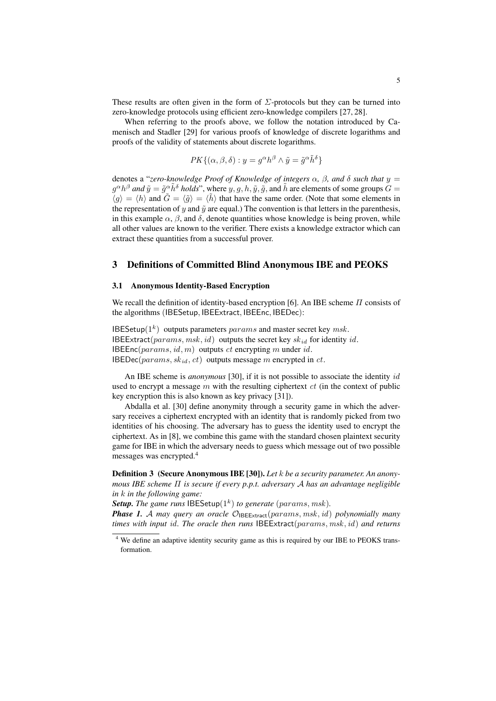These results are often given in the form of  $\Sigma$ -protocols but they can be turned into zero-knowledge protocols using efficient zero-knowledge compilers [27, 28].

When referring to the proofs above, we follow the notation introduced by Camenisch and Stadler [29] for various proofs of knowledge of discrete logarithms and proofs of the validity of statements about discrete logarithms.

$$
PK\{(\alpha,\beta,\delta) : y = g^{\alpha}h^{\beta} \wedge \tilde{y} = \tilde{g}^{\alpha}\tilde{h}^{\delta}\}\
$$

denotes a "*zero-knowledge Proof of Knowledge of integers* α*,* β*, and* δ *such that* y =  $g^{\alpha}h^{\beta}$  *and*  $\tilde{y} = \tilde{g}^{\alpha}\tilde{h}^{\delta}$  *holds*", where y, g, h,  $\tilde{y}$ ,  $\tilde{g}$ , and  $\tilde{h}$  are elements of some groups  $G =$  $\langle g \rangle = \langle h \rangle$  and  $\hat{G} = \langle \tilde{g} \rangle = \langle \tilde{h} \rangle$  that have the same order. (Note that some elements in the representation of y and  $\tilde{y}$  are equal.) The convention is that letters in the parenthesis, in this example  $\alpha$ ,  $\beta$ , and  $\delta$ , denote quantities whose knowledge is being proven, while all other values are known to the verifier. There exists a knowledge extractor which can extract these quantities from a successful prover.

### 3 Definitions of Committed Blind Anonymous IBE and PEOKS

### 3.1 Anonymous Identity-Based Encryption

We recall the definition of identity-based encryption [6]. An IBE scheme  $\Pi$  consists of the algorithms (IBESetup, IBEExtract, IBEEnc, IBEDec):

IBESetup $(1^k)$  outputs parameters  $params$  and master secret key  $msk$ . IBEExtract(params, msk, id) outputs the secret key  $sk_{id}$  for identity id. IBEEnc(params, id, m) outputs ct encrypting m under id. IBEDec(params, sk<sub>id</sub>, ct) outputs message m encrypted in ct.

An IBE scheme is *anonymous* [30], if it is not possible to associate the identity id used to encrypt a message  $m$  with the resulting ciphertext  $ct$  (in the context of public key encryption this is also known as key privacy [31]).

Abdalla et al. [30] define anonymity through a security game in which the adversary receives a ciphertext encrypted with an identity that is randomly picked from two identities of his choosing. The adversary has to guess the identity used to encrypt the ciphertext. As in [8], we combine this game with the standard chosen plaintext security game for IBE in which the adversary needs to guess which message out of two possible messages was encrypted.<sup>4</sup>

Definition 3 (Secure Anonymous IBE [30]). *Let* k *be a security parameter. An anonymous IBE scheme* Π *is secure if every p.p.t. adversary* A *has an advantage negligible in* k *in the following game:*

**Setup.** The game runs  $l$ BESetup $(1<sup>k</sup>)$  to generate  $(params, msk)$ .

*Phase 1.* A may query an oracle  $\mathcal{O}_{\text{IBFExtrat}}(params, msk, id)$  polynomially many *times with input* id*. The oracle then runs* IBEExtract(params, msk, id) *and returns*

<sup>&</sup>lt;sup>4</sup> We define an adaptive identity security game as this is required by our IBE to PEOKS transformation.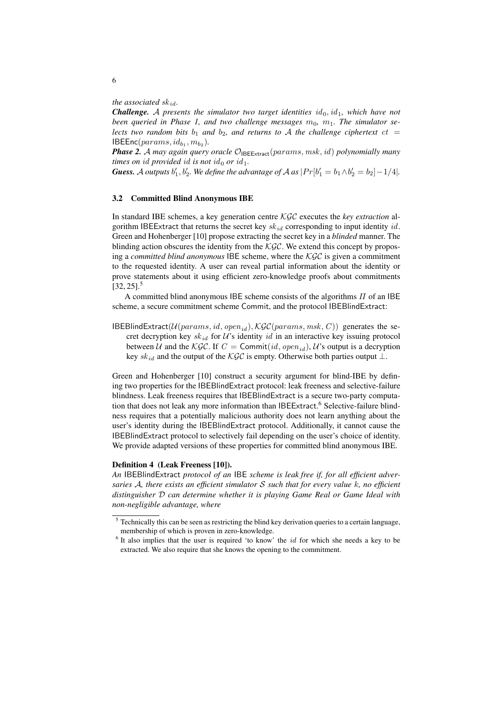*the associated*  $sk_{id}$ *.* 

*Challenge.* A presents the simulator two target identities  $id_0$ ,  $id_1$ , which have not been queried in Phase 1, and two challenge messages  $m_0$ ,  $m_1$ . The simulator se*lects two random bits*  $b_1$  *and*  $b_2$ *, and returns to* A *the challenge ciphertext*  $ct =$  $\mathsf{IBEEnc}(params, id_{b_1}, m_{b_2}).$ 

*Phase 2. A may again query oracle*  $\mathcal{O}_{\mathsf{IBEExtract}}(params, msk, id)$  *polynomially many times on id provided id is not id*<sub>0</sub> *or id*<sub>1</sub>*.* 

*Guess.* A *outputs*  $b'_1$ ,  $b'_2$ . We define the advantage of A as  $|Pr[b'_1 = b_1 \wedge b'_2 = b_2] - 1/4|$ .

### 3.2 Committed Blind Anonymous IBE

In standard IBE schemes, a key generation centre KGC executes the *key extraction* algorithm IBEExtract that returns the secret key  $sk_{id}$  corresponding to input identity id. Green and Hohenberger [10] propose extracting the secret key in a *blinded* manner. The blinding action obscures the identity from the  $\mathcal{KG}C$ . We extend this concept by proposing a *committed blind anonymous* IBE scheme, where the KGC is given a commitment to the requested identity. A user can reveal partial information about the identity or prove statements about it using efficient zero-knowledge proofs about commitments  $[32, 25]$ <sup>5</sup>

A committed blind anonymous IBE scheme consists of the algorithms  $\Pi$  of an IBE scheme, a secure commitment scheme Commit, and the protocol IBEBlindExtract:

IBEBlindExtract( $\mathcal{U}(params, id, open_{id})$ ,  $\mathcal{KGC}(params, msk, C)$ ) generates the secret decryption key  $sk_{id}$  for U's identity id in an interactive key issuing protocol between U and the KGC. If  $C = \text{Commit}(id, open_{id}), U$ 's output is a decryption key  $sk_{id}$  and the output of the KGC is empty. Otherwise both parties output  $\bot$ .

Green and Hohenberger [10] construct a security argument for blind-IBE by defining two properties for the IBEBlindExtract protocol: leak freeness and selective-failure blindness. Leak freeness requires that IBEBlindExtract is a secure two-party computation that does not leak any more information than IBEExtract. <sup>6</sup> Selective-failure blindness requires that a potentially malicious authority does not learn anything about the user's identity during the IBEBlindExtract protocol. Additionally, it cannot cause the IBEBlindExtract protocol to selectively fail depending on the user's choice of identity. We provide adapted versions of these properties for committed blind anonymous IBE.

### Definition 4 (Leak Freeness [10]).

*An* IBEBlindExtract *protocol of an* IBE *scheme is leak free if, for all efficient adversaries* A*, there exists an efficient simulator* S *such that for every value* k*, no efficient distinguisher* D *can determine whether it is playing Game Real or Game Ideal with non-negligible advantage, where*

6

 $5$  Technically this can be seen as restricting the blind key derivation queries to a certain language, membership of which is proven in zero-knowledge.

 $6$  It also implies that the user is required 'to know' the  $id$  for which she needs a key to be extracted. We also require that she knows the opening to the commitment.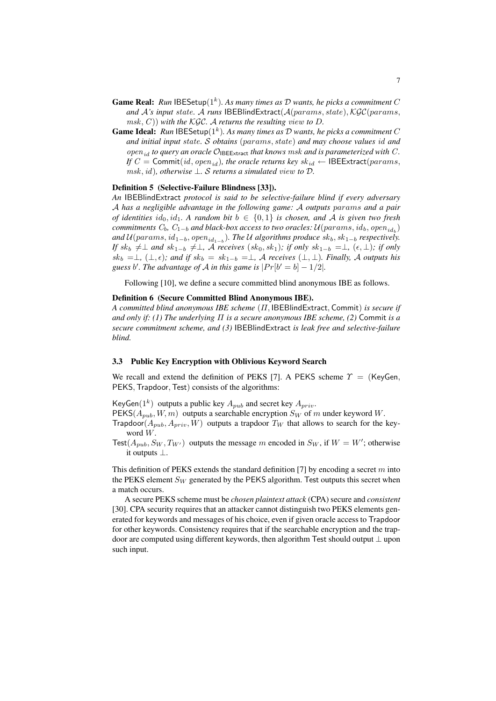- **Game Real:** Run  $\mathsf{IBESetup}(1^k)$ . As many times as  $\mathcal D$  wants, he picks a commitment  $C$ *and* A*'s input* state*.* A *runs* IBEBlindExtract(A(params, state), KGC(params, msk, C )) *with the* KGC*.* A *returns the resulting* view *to* D*.*
- **Game Ideal:** Run  $\text{IBESetup}(1^k)$ . As many times as  $D$  wants, he picks a commitment C *and initial input* state*.* S *obtains* (params, state) *and may choose values* id *and* open<sub>id</sub> to query an oracle  $\mathcal{O}_{\text{BEExtract}}$  *that knows msk and is parameterized with* C. *If*  $C = \text{Commit}(id, open_{id})$ *, the oracle returns key*  $sk_{id} \leftarrow \text{IEEEtract}(params,$  $msk$ , *id*), otherwise  $\perp$ . S returns a simulated view to D.

### Definition 5 (Selective-Failure Blindness [33]).

*An* IBEBlindExtract *protocol is said to be selective-failure blind if every adversary* A *has a negligible advantage in the following game:* A *outputs* params *and a pair of identities*  $id_0$ ,  $id_1$ . A random bit  $b \in \{0,1\}$  *is chosen, and* A *is given two fresh*  ${\it commitments}\; C_b,\; C_{1-b}$  and black-box access to two oracles:  ${\cal U}(params, id_b, open_{id_b})$ *and U*(params, id $_{1-b}$ , open $_{id_{1-b}}$ ). The U algorithms produce  $\overline{sk}_b, \overline{sk}_{1-b}$  respectively. *If*  $sk_b \neq \perp$  *and*  $sk_{1-b} \neq \perp$ , *A receives* ( $sk_0, sk_1$ )*; if only*  $sk_{1-b} = \perp$ , ( $\epsilon, \perp$ )*; if only*  $sk_b = \perp$ ,  $(\perp, \epsilon)$ ; and if  $sk_b = sk_{1-b} = \perp$ , A receives  $(\perp, \perp)$ . Finally, A outputs his *guess* b'. The advantage of A in this game is  $|Pr[b' = b] - 1/2|$ .

Following [10], we define a secure committed blind anonymous IBE as follows.

### Definition 6 (Secure Committed Blind Anonymous IBE).

*A committed blind anonymous IBE scheme* (Π, IBEBlindExtract, Commit) *is secure if and only if: (1) The underlying* Π *is a secure anonymous IBE scheme, (2)* Commit *is a secure commitment scheme, and (3)* IBEBlindExtract *is leak free and selective-failure blind.*

### 3.3 Public Key Encryption with Oblivious Keyword Search

We recall and extend the definition of PEKS [7]. A PEKS scheme  $\Upsilon =$  (KeyGen, PEKS, Trapdoor, Test) consists of the algorithms:

KeyGen( $1^k$ ) outputs a public key  $A_{pub}$  and secret key  $A_{priv}$ .

PEKS( $A_{pub}$ ,  $W$ ,  $m$ ) outputs a searchable encryption  $S_W$  of  $m$  under keyword  $W$ .

Trapdoor( $A_{pub}, A_{priv}, W$ ) outputs a trapdoor  $T_W$  that allows to search for the keyword W.

Test( $A_{pub}, S_W, T_{W'}$ ) outputs the message m encoded in  $S_W$ , if  $W = W'$ ; otherwise it outputs ⊥.

This definition of PEKS extends the standard definition [7] by encoding a secret m into the PEKS element  $S_W$  generated by the PEKS algorithm. Test outputs this secret when a match occurs.

A secure PEKS scheme must be *chosen plaintext attack* (CPA) secure and *consistent* [30]. CPA security requires that an attacker cannot distinguish two PEKS elements generated for keywords and messages of his choice, even if given oracle access to Trapdoor for other keywords. Consistency requires that if the searchable encryption and the trapdoor are computed using different keywords, then algorithm Test should output  $\perp$  upon such input.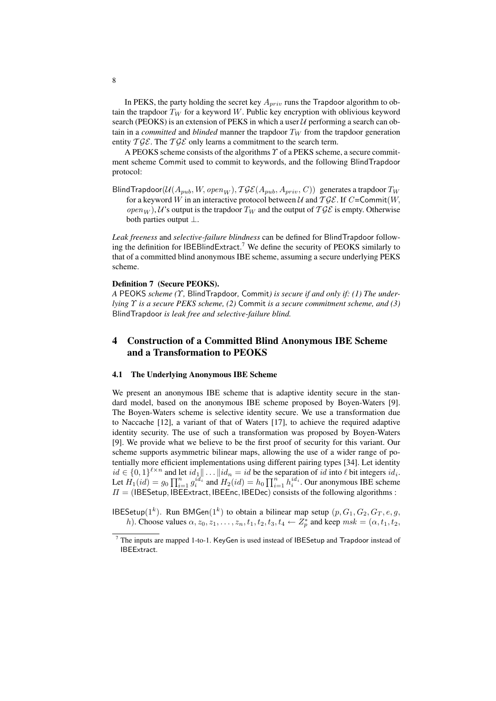In PEKS, the party holding the secret key  $A_{priv}$  runs the Trapdoor algorithm to obtain the trapdoor  $T_W$  for a keyword W. Public key encryption with oblivious keyword search (PEOKS) is an extension of PEKS in which a user  $U$  performing a search can obtain in a *committed* and *blinded* manner the trapdoor  $T_W$  from the trapdoor generation entity  $T\mathcal{G}\mathcal{E}$ . The  $T\mathcal{G}\mathcal{E}$  only learns a commitment to the search term.

A PEOKS scheme consists of the algorithms  $\gamma$  of a PEKS scheme, a secure commitment scheme Commit used to commit to keywords, and the following BlindTrapdoor protocol:

BlindTrapdoor( $\mathcal{U}(A_{pub}, W, open_W)$ ,  $\mathcal{TGE}(A_{pub}, A_{priv}, C)$ ) generates a trapdoor  $T_W$ for a keyword W in an interactive protocol between U and  $T G \mathcal{E}$ . If C=Commit(W,  $open_W$ ), U's output is the trapdoor  $T_W$  and the output of  $T\mathcal{G}\mathcal{E}$  is empty. Otherwise both parties output ⊥.

*Leak freeness* and *selective-failure blindness* can be defined for BlindTrapdoor following the definition for IBEBlindExtract.<sup>7</sup> We define the security of PEOKS similarly to that of a committed blind anonymous IBE scheme, assuming a secure underlying PEKS scheme.

### Definition 7 (Secure PEOKS).

*A* PEOKS *scheme (*Υ*,* BlindTrapdoor*,* Commit*) is secure if and only if: (1) The underlying* Υ *is a secure PEKS scheme, (2)* Commit *is a secure commitment scheme, and (3)* BlindTrapdoor *is leak free and selective-failure blind.*

## 4 Construction of a Committed Blind Anonymous IBE Scheme and a Transformation to PEOKS

### 4.1 The Underlying Anonymous IBE Scheme

We present an anonymous IBE scheme that is adaptive identity secure in the standard model, based on the anonymous IBE scheme proposed by Boyen-Waters [9]. The Boyen-Waters scheme is selective identity secure. We use a transformation due to Naccache [12], a variant of that of Waters [17], to achieve the required adaptive identity security. The use of such a transformation was proposed by Boyen-Waters [9]. We provide what we believe to be the first proof of security for this variant. Our scheme supports asymmetric bilinear maps, allowing the use of a wider range of potentially more efficient implementations using different pairing types [34]. Let identity  $id \in \{0,1\}^{\ell \times n}$  and let  $id_1 || \dots || id_n = id$  be the separation of  $id$  into  $\ell$  bit integers  $id_i$ . Let  $H_1(id) = g_0 \prod_{i=1}^n g_i^{id_i}$  and  $H_2(id) = h_0 \prod_{i=1}^n h_i^{id_i}$ . Our anonymous IBE scheme  $\Pi =$  (IBESetup, IBEExtract, IBEEnc, IBEDec) consists of the following algorithms :

IBESetup( $1^k$ ). Run BMGen( $1^k$ ) to obtain a bilinear map setup  $(p, G_1, G_2, G_T, e, g, g)$ h). Choose values  $\alpha, z_0, z_1, \ldots, z_n, t_1, t_2, t_3, t_4 \leftarrow Z_p^*$  and keep  $msk = (\alpha, t_1, t_2, t_3, t_4, t_5, t_6, t_7, t_8, t_9, t_1, t_2, t_3, t_4, t_5, t_6, t_7, t_8, t_9, t_1, t_2, t_3, t_4, t_7, t_8, t_9, t_1, t_2, t_3, t_4, t_7, t_8, t_9, t_1, t_2, t_3, t_4,$ 

8

 $7$  The inputs are mapped 1-to-1. KeyGen is used instead of IBESetup and Trapdoor instead of IBEExtract.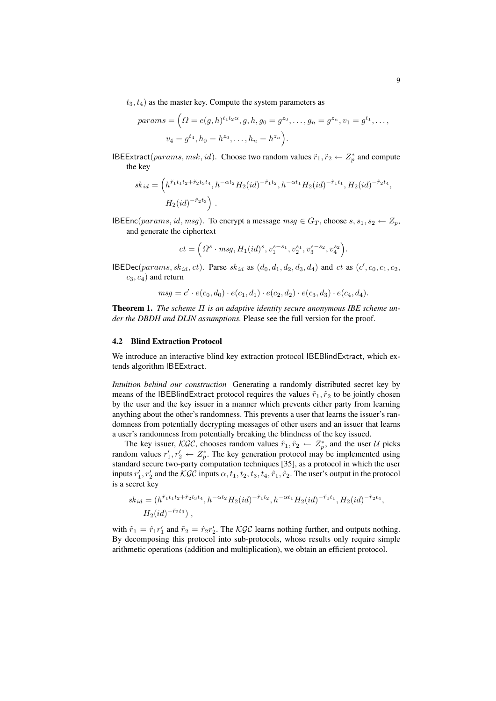$t_3, t_4$ ) as the master key. Compute the system parameters as

$$
params = \left( \Omega = e(g, h)^{t_1 t_2 \alpha}, g, h, g_0 = g^{z_0}, \dots, g_n = g^{z_n}, v_1 = g^{t_1}, \dots, \right)
$$
  

$$
v_4 = g^{t_4}, h_0 = h^{z_0}, \dots, h_n = h^{z_n} \Big).
$$

IBEExtract( $params, msk, id$ ). Choose two random values  $\tilde{r}_1, \tilde{r}_2 \leftarrow Z_p^*$  and compute the key

$$
sk_{id} = \left( h^{\tilde{r}_1 t_1 t_2 + \tilde{r}_2 t_3 t_4}, h^{-\alpha t_2} H_2(id)^{-\tilde{r}_1 t_2}, h^{-\alpha t_1} H_2(id)^{-\tilde{r}_1 t_1}, H_2(id)^{-\tilde{r}_2 t_4}, \right)
$$
  

$$
H_2(id)^{-\tilde{r}_2 t_3} \right).
$$

IBEEnc(params, id, msg). To encrypt a message msg  $\in G_T$ , choose  $s, s_1, s_2 \leftarrow Z_p$ , and generate the ciphertext

$$
ct = (0^s \cdot msg, H_1(id)^s, v_1^{s-s_1}, v_2^{s_1}, v_3^{s-s_2}, v_4^{s_2}).
$$

IBEDec(params, sk<sub>id</sub>, ct). Parse sk<sub>id</sub> as  $(d_0, d_1, d_2, d_3, d_4)$  and ct as  $(c', c_0, c_1, c_2, d_4)$  $c_3, c_4$ ) and return

$$
msg = c' \cdot e(c_0, d_0) \cdot e(c_1, d_1) \cdot e(c_2, d_2) \cdot e(c_3, d_3) \cdot e(c_4, d_4).
$$

Theorem 1. *The scheme* Π *is an adaptive identity secure anonymous IBE scheme under the DBDH and DLIN assumptions.* Please see the full version for the proof.

### 4.2 Blind Extraction Protocol

We introduce an interactive blind key extraction protocol IBEBlindExtract, which extends algorithm IBEExtract.

*Intuition behind our construction* Generating a randomly distributed secret key by means of the IBEBlindExtract protocol requires the values  $\tilde{r}_1, \tilde{r}_2$  to be jointly chosen by the user and the key issuer in a manner which prevents either party from learning anything about the other's randomness. This prevents a user that learns the issuer's randomness from potentially decrypting messages of other users and an issuer that learns a user's randomness from potentially breaking the blindness of the key issued.

The key issuer,  $\mathcal{KGC}$ , chooses random values  $\hat{r}_1, \hat{r}_2 \leftarrow Z_p^*$ , and the user U picks random values  $r'_1, r'_2 \leftarrow Z_p^*$ . The key generation protocol may be implemented using standard secure two-party computation techniques [35], as a protocol in which the user inputs  $r'_1, r'_2$  and the KGC inputs  $\alpha, t_1, t_2, t_3, t_4, \hat{r}_1, \hat{r}_2$ . The user's output in the protocol is a secret key

$$
sk_{id} = (h^{\tilde{r}_1 t_1 t_2 + \tilde{r}_2 t_3 t_4}, h^{-\alpha t_2} H_2(id)^{-\tilde{r}_1 t_2}, h^{-\alpha t_1} H_2(id)^{-\tilde{r}_1 t_1}, H_2(id)^{-\tilde{r}_2 t_4},
$$
  

$$
H_2(id)^{-\tilde{r}_2 t_3}),
$$

with  $\tilde{r}_1 = \hat{r}_1 r'_1$  and  $\tilde{r}_2 = \hat{r}_2 r'_2$ . The KGC learns nothing further, and outputs nothing. By decomposing this protocol into sub-protocols, whose results only require simple arithmetic operations (addition and multiplication), we obtain an efficient protocol.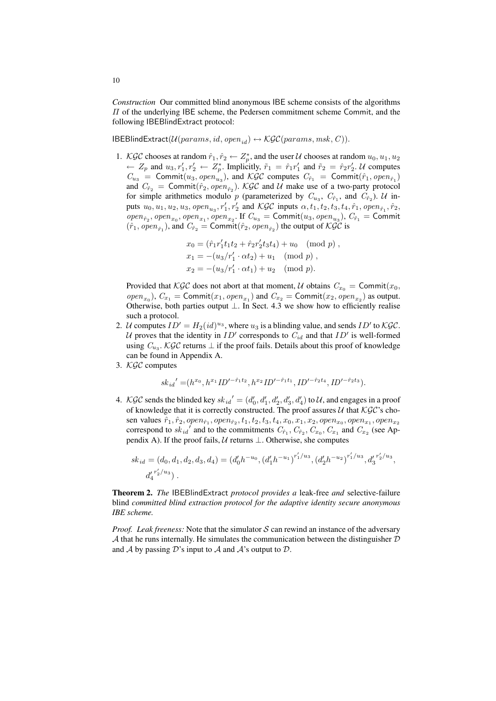*Construction* Our committed blind anonymous IBE scheme consists of the algorithms  $\Pi$  of the underlying IBE scheme, the Pedersen commitment scheme Commit, and the following IBEBlindExtract protocol:

 $\mathsf{IBEBlindExtract}(\mathcal{U}(params, id, open_{id}) \leftrightarrow \mathcal{KGC}(params, msk, C)).$ 

1. KGC chooses at random  $\hat{r}_1, \hat{r}_2 \leftarrow Z_p^*$ , and the user U chooses at random  $u_0, u_1, u_2$  $\leftarrow Z_p$  and  $u_3, r'_1, r'_2 \leftarrow Z_p^*$ . Implicitly,  $\tilde{r}_1 = \hat{r}_1 r'_1$  and  $\tilde{r}_2 = \hat{r}_2 r'_2$ . U computes  $C_{u_3}$  = Commit $(u_3, open_{u_3})$ , and KGC computes  $C_{\hat{r}_1}$  = Commit $(\hat{r}_1, open_{\hat{r}_1})$ and  $C_{\hat{r}_2}$  = Commit $(\hat{r}_2, open_{\hat{r}_2})$ . KGC and U make use of a two-party protocol for simple arithmetics modulo p (parameterized by  $C_{u_3}$ ,  $C_{\hat{r}_1}$ , and  $C_{\hat{r}_2}$ ). U inputs  $u_0, u_1, u_2, u_3, open_{u_3}, r'_1, r'_2$  and  $\mathcal{KGC}$  inputs  $\alpha, t_1, t_2, t_3, t_4, \hat{r}_1, open_{\hat{r}_1}, \hat{r}_2$ ,  $open_{\hat{r}_2}, open_{x_0}, open_{x_1}, open_{x_2}$ . If  $C_{u_3} = \text{Commit}(u_3, open_{u_3}), C_{\hat{r}_1} = \text{Commit}$  $(\hat{r}_1, open_{\hat{r}_1})$ , and  $C_{\hat{r}_2} = \text{Commit}(\hat{r}_2, open_{\hat{r}_2})$  the output of  $\mathcal{KGC}$  is

$$
x_0 = (\hat{r}_1 r_1' t_1 t_2 + \hat{r}_2 r_2' t_3 t_4) + u_0 \pmod{p},
$$
  
\n
$$
x_1 = -(u_3/r_1' \cdot \alpha t_2) + u_1 \pmod{p},
$$
  
\n
$$
x_2 = -(u_3/r_1' \cdot \alpha t_1) + u_2 \pmod{p}.
$$

Provided that KGC does not abort at that moment, U obtains  $C_{x_0} = \text{Commit}(x_0,$  $open_{x_0}$ ,  $C_{x_1}$  = Commit $(x_1, open_{x_1})$  and  $C_{x_2}$  = Commit $(x_2, open_{x_2})$  as output. Otherwise, both parties output  $\perp$ . In Sect. 4.3 we show how to efficiently realise such a protocol.

- 2. U computes  $ID' = H_2(id)^{u_3}$ , where  $u_3$  is a blinding value, and sends  $ID'$  to  $\mathcal{KGC}$ . U proves that the identity in  $ID'$  corresponds to  $C_{id}$  and that  $ID'$  is well-formed using  $C_{u_3}$ . KGC returns  $\perp$  if the proof fails. Details about this proof of knowledge can be found in Appendix A.
- 3. KGC computes

$$
sk_{id}' = (h^{x_0}, h^{x_1}ID'^{-\hat{r}_1t_2}, h^{x_2}ID'^{-\hat{r}_1t_1}, ID'^{-\hat{r}_2t_4}, ID'^{-\hat{r}_2t_3}).
$$

4. KGC sends the blinded key  $sk_{id}' = (d'_0, d'_1, d'_2, d'_3, d'_4)$  to U, and engages in a proof of knowledge that it is correctly constructed. The proof assures  $U$  that  $\mathcal{KG}C$ 's chosen values  $\hat{r}_1, \hat{r}_2, open_{\hat{r}_1}, open_{\hat{r}_2}, t_1, t_2, t_3, t_4, x_0, x_1, x_2, open_{x_0}, open_{x_1}, open_{x_2}$ correspond to  $sk_{id}$  and to the commitments  $C_{\hat{r}_1}$ ,  $C_{\hat{r}_2}$ ,  $C_{x_0}$ ,  $C_{x_1}$  and  $C_{x_2}$  (see Appendix A). If the proof fails,  $U$  returns  $\bot$ . Otherwise, she computes

$$
sk_{id} = (d_0, d_1, d_2, d_3, d_4) = (d'_0 h^{-u_0}, (d'_1 h^{-u_1})^{r'_1/u_3}, (d'_2 h^{-u_2})^{r'_1/u_3}, d'_3^{r'_2/u_3}, d'_4^{r'_2/u_3}).
$$

Theorem 2. *The* IBEBlindExtract *protocol provides a* leak-free *and* selective-failure blind *committed blind extraction protocol for the adaptive identity secure anonymous IBE scheme.*

*Proof. Leak freeness:* Note that the simulator  $S$  can rewind an instance of the adversary A that he runs internally. He simulates the communication between the distinguisher  $D$ and A by passing D's input to A and A's output to D.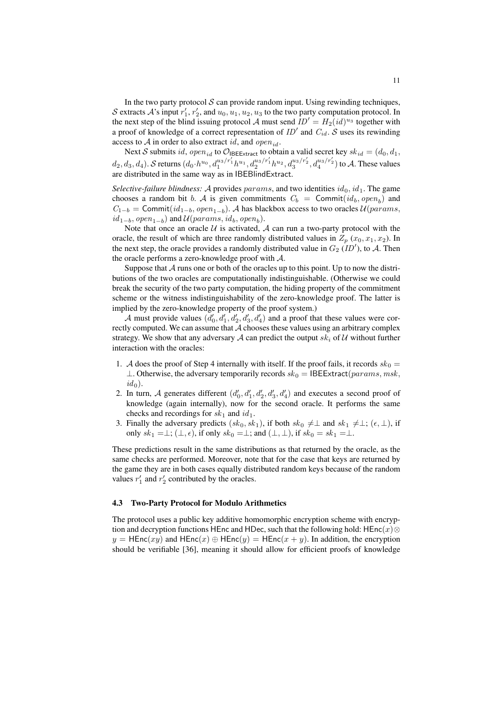In the two party protocol  $S$  can provide random input. Using rewinding techniques, S extracts A's input  $r'_1, r'_2$ , and  $u_0, u_1, u_2, u_3$  to the two party computation protocol. In the next step of the blind issuing protocol A must send  $ID' = H_2(id)^{u_3}$  together with a proof of knowledge of a correct representation of  $ID'$  and  $C_{id}$ .  $S$  uses its rewinding access to  $A$  in order to also extract id, and open<sub>id</sub>.

Next S submits id, open<sub>id</sub> to  $\mathcal{O}_{\mathsf{IBEExtract}}$  to obtain a valid secret key  $sk_{id} = (d_0, d_1, d_2)$  $d_2, d_3, d_4$ ).  $\mathcal S$  returns  $(d_0 \cdot h^{u_0}, d_1^{u_3/r'_1} h^{u_1}, d_2^{u_3/r'_1} h^{u_2}, d_3^{u_3/r'_2}, d_4^{u_3/r'_2})$  to  $\mathcal A.$  These values are distributed in the same way as in IBEBlindExtract.

*Selective-failure blindness:* A provides  $params$ , and two identities  $id_0$ ,  $id_1$ . The game chooses a random bit b. A is given commitments  $C_b = \text{Commit}(id_b, open_b)$  and  $C_{1-b} = \text{Commit}(id_{1-b}, open_{1-b}).$  A has blackbox access to two oracles  $\mathcal{U}(params,$  $id_{1-b}$ ,  $open_{1-b}$ ) and  $\mathcal{U}(params, id_b, open_b)$ .

Note that once an oracle  $U$  is activated,  $\mathcal A$  can run a two-party protocol with the oracle, the result of which are three randomly distributed values in  $Z_p$  ( $x_0, x_1, x_2$ ). In the next step, the oracle provides a randomly distributed value in  $G_2$   $(ID')$ , to A. Then the oracle performs a zero-knowledge proof with  $A$ .

Suppose that  $A$  runs one or both of the oracles up to this point. Up to now the distributions of the two oracles are computationally indistinguishable. (Otherwise we could break the security of the two party computation, the hiding property of the commitment scheme or the witness indistinguishability of the zero-knowledge proof. The latter is implied by the zero-knowledge property of the proof system.)

A must provide values  $(d'_0, d'_1, d'_2, d'_3, d'_4)$  and a proof that these values were correctly computed. We can assume that  $A$  chooses these values using an arbitrary complex strategy. We show that any adversary A can predict the output  $sk_i$  of U without further interaction with the oracles:

- 1. A does the proof of Step 4 internally with itself. If the proof fails, it records  $sk_0 =$ ⊥. Otherwise, the adversary temporarily records  $sk_0 = \text{IEEEtract}(params, msk,$  $id_0$ ).
- 2. In turn, A generates different  $(d'_0, d'_1, d'_2, d'_3, d'_4)$  and executes a second proof of knowledge (again internally), now for the second oracle. It performs the same checks and recordings for  $sk_1$  and  $id_1$ .
- 3. Finally the adversary predicts  $(sk_0, sk_1)$ , if both  $sk_0 \neq \perp$  and  $sk_1 \neq \perp$ ;  $(\epsilon, \perp)$ , if only  $sk_1 = \perp$ ;  $(\perp, \epsilon)$ , if only  $sk_0 = \perp$ ; and  $(\perp, \perp)$ , if  $sk_0 = sk_1 = \perp$ .

These predictions result in the same distributions as that returned by the oracle, as the same checks are performed. Moreover, note that for the case that keys are returned by the game they are in both cases equally distributed random keys because of the random values  $r'_1$  and  $r'_2$  contributed by the oracles.

#### 4.3 Two-Party Protocol for Modulo Arithmetics

The protocol uses a public key additive homomorphic encryption scheme with encryption and decryption functions HEnc and HDec, such that the following hold: HEnc $(x)$  $y = \text{HEnc}(xy)$  and  $\text{HEnc}(x) \oplus \text{HEnc}(y) = \text{HEnc}(x + y)$ . In addition, the encryption should be verifiable [36], meaning it should allow for efficient proofs of knowledge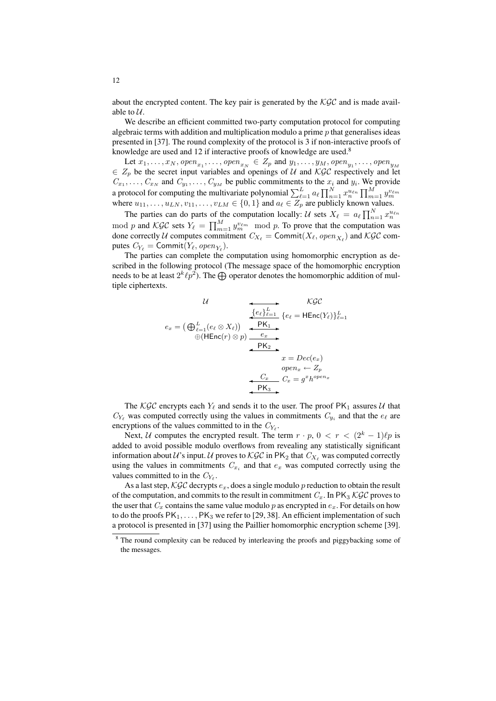about the encrypted content. The key pair is generated by the  $KGC$  and is made available to  $U$ .

We describe an efficient committed two-party computation protocol for computing algebraic terms with addition and multiplication modulo a prime  $p$  that generalises ideas presented in [37]. The round complexity of the protocol is 3 if non-interactive proofs of knowledge are used and 12 if interactive proofs of knowledge are used.<sup>8</sup>

Let  $x_1, \ldots, x_N$ ,  $open_{x_1}, \ldots, open_{x_N} \in Z_p$  and  $y_1, \ldots, y_M$ ,  $open_{y_1}, \ldots, open_{y_M}$  $\in Z_p$  be the secret input variables and openings of U and KGC respectively and let  $C_{x_1}, \ldots, C_{x_N}$  and  $C_{y_1}, \ldots, C_{y_M}$  be public commitments to the  $x_i$  and  $y_i$ . We provide a protocol for computing the multivariate polynomial  $\sum_{\ell=1}^L a_\ell \prod_{n=1}^N x_n^{u_{\ell n}} \prod_{m=1}^M y_m^{w_{\ell m}}$ where  $u_{11}, \ldots, u_{LN}, v_{11}, \ldots, v_{LM} \in \{0, 1\}$  and  $a_\ell \in Z_p$  are publicly known values.

The parties can do parts of the computation locally:  $\mathcal{U}$  sets  $X_{\ell} = a_{\ell} \prod_{n=1}^{N} x_n^{u_{\ell n}}$ mod p and KGC sets  $Y_\ell = \prod_{m=1}^M y_m^{v_{\ell m}} \mod p$ . To prove that the computation was done correctly U computes commitment  $C_{X_\ell} = \text{Commit}(X_\ell, open_{X_\ell})$  and  $\mathcal{KGC}$  computes  $C_{Y_\ell} = \text{Commit}(Y_\ell, open_{Y_\ell}).$ 

The parties can complete the computation using homomorphic encryption as described in the following protocol (The message space of the homomorphic encryption needs to be at least  $2^k \ell p^2$ ). The  $\bigoplus$  operator denotes the homomorphic addition of multiple ciphertexts.

$$
e_x = \left(\bigoplus_{\ell=1}^{L} (e_{\ell} \otimes X_{\ell})\right) \xrightarrow{\{e_{\ell}\}_{\ell=1}^{L}} \{e_{\ell} = \text{HEnc}(Y_{\ell})\}_{\ell=1}^{L}
$$
\n
$$
\oplus (\text{HEnc}(r) \otimes p) \xrightarrow{\text{PK}_1} x = Dec(e_x)
$$
\n
$$
x = Dec(e_x)
$$
\n
$$
open_x \leftarrow Z_p
$$
\n
$$
\underbrace{C_x}_{\text{PK}_3}
$$
\n
$$
\underbrace{C_x}_{\text{PK}_3}
$$

The KGC encrypts each  $Y_\ell$  and sends it to the user. The proof PK<sub>1</sub> assures U that  $C_{Y_\ell}$  was computed correctly using the values in commitments  $C_{y_i}$  and that the  $e_\ell$  are encryptions of the values committed to in the  $C_{Y_\ell}$ .

Next, U computes the encrypted result. The term  $r \cdot p$ ,  $0 < r < (2^k - 1)\ell p$  is added to avoid possible modulo overflows from revealing any statistically significant information about U's input. U proves to  $\mathcal{KG}\mathcal{C}$  in PK<sub>2</sub> that  $C_{X_\ell}$  was computed correctly using the values in commitments  $C_{x_i}$  and that  $e_x$  was computed correctly using the values committed to in the  $C_{Y_\ell}$ .

As a last step,  $\mathcal{KGC}$  decrypts  $e_x$ , does a single modulo p reduction to obtain the result of the computation, and commits to the result in commitment  $C_x$ . In PK<sub>3</sub> KGC proves to the user that  $C_x$  contains the same value modulo p as encrypted in  $e_x$ . For details on how to do the proofs  $PK_1, \ldots, PK_3$  we refer to [29, 38]. An efficient implementation of such a protocol is presented in [37] using the Paillier homomorphic encryption scheme [39].

<sup>&</sup>lt;sup>8</sup> The round complexity can be reduced by interleaving the proofs and piggybacking some of the messages.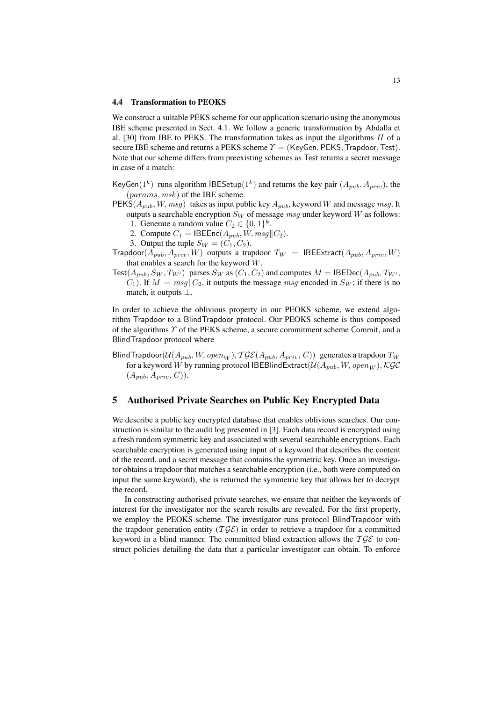#### 4.4 Transformation to PEOKS

We construct a suitable PEKS scheme for our application scenario using the anonymous IBE scheme presented in Sect. 4.1. We follow a generic transformation by Abdalla et al. [30] from IBE to PEKS. The transformation takes as input the algorithms  $\Pi$  of a secure IBE scheme and returns a PEKS scheme  $\Upsilon =$  (KeyGen, PEKS, Trapdoor, Test). Note that our scheme differs from preexisting schemes as Test returns a secret message in case of a match:

- KeyGen $(1^k)$  runs algorithm IBESetup $(1^k)$  and returns the key pair  $(A_{pub}, A_{priv})$ , the (params, msk) of the IBE scheme.
- PEKS( $A_{pub}$ , W, msg) takes as input public key  $A_{pub}$ , keyword W and message msg. It outputs a searchable encryption  $S_W$  of message msg under keyword W as follows:
	- 1. Generate a random value  $C_2 \in \{0,1\}^k$ .
	- 2. Compute  $C_1 = \text{IEEE}(A_{pub}, W, msg||C_2)$ .
	- 3. Output the tuple  $S_W = (C_1, C_2)$ .

Trapdoor( $A_{pub}, A_{priv}, W$ ) outputs a trapdoor  $T_W$  = IBEExtract( $A_{pub}, A_{priv}, W$ ) that enables a search for the keyword W.

Test( $A_{pub}, S_W, T_{W'}$ ) parses  $S_W$  as ( $C_1, C_2$ ) and computes  $M = \mathsf{IBEDec}(A_{pub}, T_{W'},$  $C_1$ ). If  $M = msg||C_2$ , it outputs the message msg encoded in  $S_W$ ; if there is no match, it outputs  $\perp$ .

In order to achieve the oblivious property in our PEOKS scheme, we extend algorithm Trapdoor to a BlindTrapdoor protocol. Our PEOKS scheme is thus composed of the algorithms  $\Upsilon$  of the PEKS scheme, a secure commitment scheme Commit, and a BlindTrapdoor protocol where

BlindTrapdoor( $\mathcal{U}(A_{pub}, W, open_W)$ ,  $\mathcal{TGE}(A_{pub}, A_{priv}, C)$ ) generates a trapdoor  $T_W$ for a keyword W by running protocol IBEBlindExtract( $\mathcal{U}(A_{pub}, W, open_W)$ , KGC  $(A_{pub}, A_{priv}, C)$ .

### 5 Authorised Private Searches on Public Key Encrypted Data

We describe a public key encrypted database that enables oblivious searches. Our construction is similar to the audit log presented in [3]. Each data record is encrypted using a fresh random symmetric key and associated with several searchable encryptions. Each searchable encryption is generated using input of a keyword that describes the content of the record, and a secret message that contains the symmetric key. Once an investigator obtains a trapdoor that matches a searchable encryption (i.e., both were computed on input the same keyword), she is returned the symmetric key that allows her to decrypt the record.

In constructing authorised private searches, we ensure that neither the keywords of interest for the investigator nor the search results are revealed. For the first property, we employ the PEOKS scheme. The investigator runs protocol BlindTrapdoor with the trapdoor generation entity ( $T\mathcal{G}\mathcal{E}$ ) in order to retrieve a trapdoor for a committed keyword in a blind manner. The committed blind extraction allows the  $T\mathcal{G}\mathcal{E}$  to construct policies detailing the data that a particular investigator can obtain. To enforce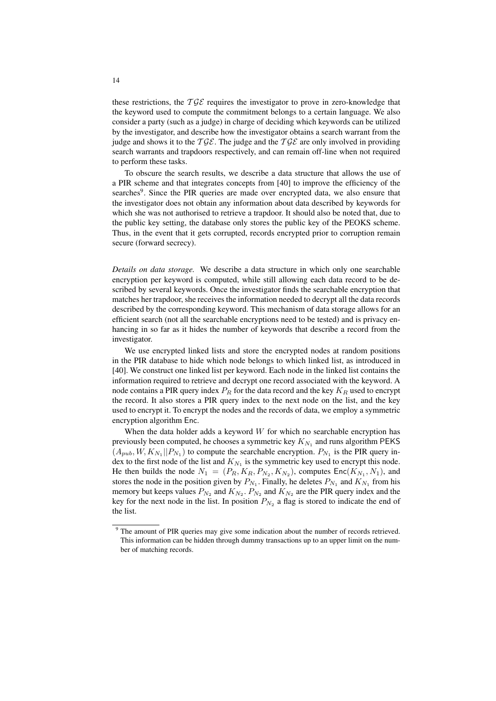these restrictions, the  $TGE$  requires the investigator to prove in zero-knowledge that the keyword used to compute the commitment belongs to a certain language. We also consider a party (such as a judge) in charge of deciding which keywords can be utilized by the investigator, and describe how the investigator obtains a search warrant from the judge and shows it to the  $T G \mathcal{E}$ . The judge and the  $T G \mathcal{E}$  are only involved in providing search warrants and trapdoors respectively, and can remain off-line when not required to perform these tasks.

To obscure the search results, we describe a data structure that allows the use of a PIR scheme and that integrates concepts from [40] to improve the efficiency of the searches<sup>9</sup>. Since the PIR queries are made over encrypted data, we also ensure that the investigator does not obtain any information about data described by keywords for which she was not authorised to retrieve a trapdoor. It should also be noted that, due to the public key setting, the database only stores the public key of the PEOKS scheme. Thus, in the event that it gets corrupted, records encrypted prior to corruption remain secure (forward secrecy).

*Details on data storage.* We describe a data structure in which only one searchable encryption per keyword is computed, while still allowing each data record to be described by several keywords. Once the investigator finds the searchable encryption that matches her trapdoor, she receives the information needed to decrypt all the data records described by the corresponding keyword. This mechanism of data storage allows for an efficient search (not all the searchable encryptions need to be tested) and is privacy enhancing in so far as it hides the number of keywords that describe a record from the investigator.

We use encrypted linked lists and store the encrypted nodes at random positions in the PIR database to hide which node belongs to which linked list, as introduced in [40]. We construct one linked list per keyword. Each node in the linked list contains the information required to retrieve and decrypt one record associated with the keyword. A node contains a PIR query index  $P_R$  for the data record and the key  $K_R$  used to encrypt the record. It also stores a PIR query index to the next node on the list, and the key used to encrypt it. To encrypt the nodes and the records of data, we employ a symmetric encryption algorithm Enc.

When the data holder adds a keyword  $W$  for which no searchable encryption has previously been computed, he chooses a symmetric key  $K_{N_1}$  and runs algorithm <code>PEKS</code>  $(A_{pub}, W, K_{N_1} || P_{N_1})$  to compute the searchable encryption.  $P_{N_1}$  is the PIR query index to the first node of the list and  $K_{N_1}$  is the symmetric key used to encrypt this node. He then builds the node  $N_1 = (P_R, K_R, P_{N_2}, K_{N_2})$ , computes  $Enc(K_{N_1}, N_1)$ , and stores the node in the position given by  $P_{N_1}$ . Finally, he deletes  $P_{N_1}$  and  $K_{N_1}$  from his memory but keeps values  $P_{N_2}$  and  $K_{N_2}$ .  $P_{N_2}$  and  $K_{N_2}$  are the PIR query index and the key for the next node in the list. In position  $P_{N_2}$  a flag is stored to indicate the end of the list.

<sup>&</sup>lt;sup>9</sup> The amount of PIR queries may give some indication about the number of records retrieved. This information can be hidden through dummy transactions up to an upper limit on the number of matching records.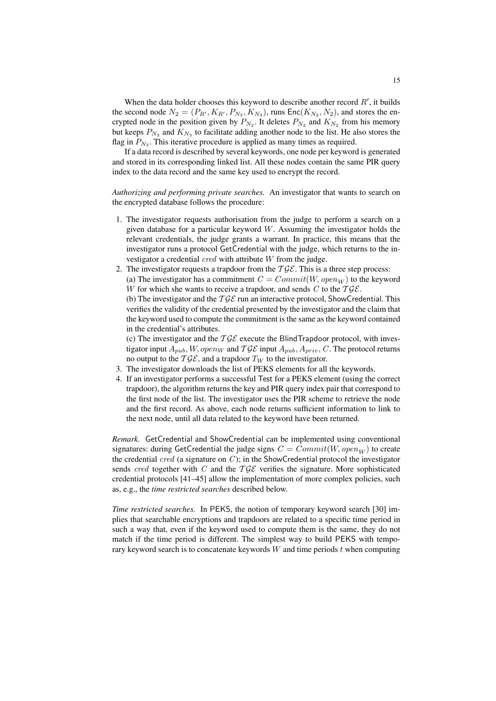When the data holder chooses this keyword to describe another record  $R'$ , it builds the second node  $N_2 = (P_{R'}, K_{R'}, P_{N_3}, K_{N_3})$ , runs  $Enc(K_{N_2}, N_2)$ , and stores the encrypted node in the position given by  $P_{N_2}$ . It deletes  $P_{N_2}$  and  $K_{N_2}$  from his memory but keeps  $P_{N_3}$  and  $K_{N_3}$  to facilitate adding another node to the list. He also stores the flag in  $P_{N_3}$ . This iterative procedure is applied as many times as required.

If a data record is described by several keywords, one node per keyword is generated and stored in its corresponding linked list. All these nodes contain the same PIR query index to the data record and the same key used to encrypt the record.

*Authorizing and performing private searches.* An investigator that wants to search on the encrypted database follows the procedure:

- 1. The investigator requests authorisation from the judge to perform a search on a given database for a particular keyword  $W$ . Assuming the investigator holds the relevant credentials, the judge grants a warrant. In practice, this means that the investigator runs a protocol GetCredential with the judge, which returns to the investigator a credential cred with attribute W from the judge.
- 2. The investigator requests a trapdoor from the  $TGE$ . This is a three step process: (a) The investigator has a commitment  $C = Commit(W, open_W)$  to the keyword W for which she wants to receive a trapdoor, and sends C to the  $T\mathcal{G}\mathcal{E}$ .

(b) The investigator and the  $TGE$  run an interactive protocol, ShowCredential. This verifies the validity of the credential presented by the investigator and the claim that the keyword used to compute the commitment is the same as the keyword contained in the credential's attributes.

(c) The investigator and the  $TGE$  execute the BlindTrapdoor protocol, with investigator input  $A_{pub}$ , W, open<sub>W</sub> and TGE input  $A_{pub}$ ,  $A_{priv}$ , C. The protocol returns no output to the  $TGE$ , and a trapdoor  $T_W$  to the investigator.

- 3. The investigator downloads the list of PEKS elements for all the keywords.
- 4. If an investigator performs a successful Test for a PEKS element (using the correct trapdoor), the algorithm returns the key and PIR query index pair that correspond to the first node of the list. The investigator uses the PIR scheme to retrieve the node and the first record. As above, each node returns sufficient information to link to the next node, until all data related to the keyword have been returned.

*Remark.* GetCredential and ShowCredential can be implemented using conventional signatures: during GetCredential the judge signs  $C = Commit(W, open_W)$  to create the credential  $\text{cred}$  (a signature on  $C$ ); in the ShowCredential protocol the investigator sends cred together with C and the  $TGE$  verifies the signature. More sophisticated credential protocols [41–45] allow the implementation of more complex policies, such as, e.g., the *time restricted searches* described below.

*Time restricted searches.* In PEKS, the notion of temporary keyword search [30] implies that searchable encryptions and trapdoors are related to a specific time period in such a way that, even if the keyword used to compute them is the same, they do not match if the time period is different. The simplest way to build PEKS with temporary keyword search is to concatenate keywords  $W$  and time periods  $t$  when computing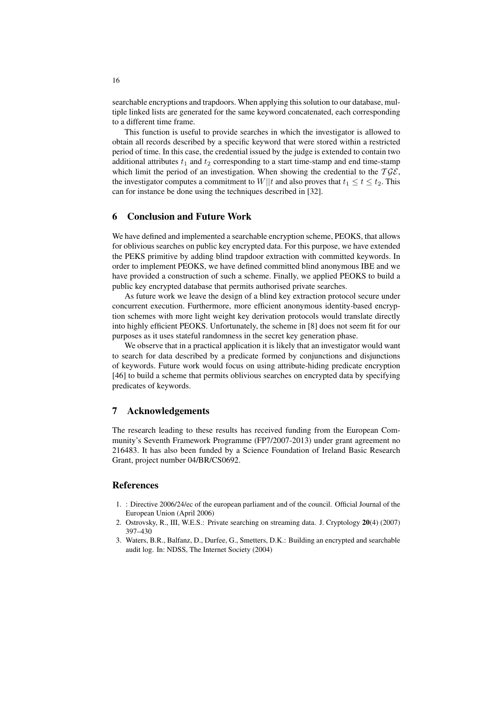searchable encryptions and trapdoors. When applying this solution to our database, multiple linked lists are generated for the same keyword concatenated, each corresponding to a different time frame.

This function is useful to provide searches in which the investigator is allowed to obtain all records described by a specific keyword that were stored within a restricted period of time. In this case, the credential issued by the judge is extended to contain two additional attributes  $t_1$  and  $t_2$  corresponding to a start time-stamp and end time-stamp which limit the period of an investigation. When showing the credential to the  $T\mathcal{G}\mathcal{E}$ , the investigator computes a commitment to  $W||t$  and also proves that  $t_1 \le t \le t_2$ . This can for instance be done using the techniques described in [32].

### 6 Conclusion and Future Work

We have defined and implemented a searchable encryption scheme, PEOKS, that allows for oblivious searches on public key encrypted data. For this purpose, we have extended the PEKS primitive by adding blind trapdoor extraction with committed keywords. In order to implement PEOKS, we have defined committed blind anonymous IBE and we have provided a construction of such a scheme. Finally, we applied PEOKS to build a public key encrypted database that permits authorised private searches.

As future work we leave the design of a blind key extraction protocol secure under concurrent execution. Furthermore, more efficient anonymous identity-based encryption schemes with more light weight key derivation protocols would translate directly into highly efficient PEOKS. Unfortunately, the scheme in [8] does not seem fit for our purposes as it uses stateful randomness in the secret key generation phase.

We observe that in a practical application it is likely that an investigator would want to search for data described by a predicate formed by conjunctions and disjunctions of keywords. Future work would focus on using attribute-hiding predicate encryption [46] to build a scheme that permits oblivious searches on encrypted data by specifying predicates of keywords.

### 7 Acknowledgements

The research leading to these results has received funding from the European Community's Seventh Framework Programme (FP7/2007-2013) under grant agreement no 216483. It has also been funded by a Science Foundation of Ireland Basic Research Grant, project number 04/BR/CS0692.

### References

- 1. : Directive 2006/24/ec of the european parliament and of the council. Official Journal of the European Union (April 2006)
- 2. Ostrovsky, R., III, W.E.S.: Private searching on streaming data. J. Cryptology 20(4) (2007) 397–430
- 3. Waters, B.R., Balfanz, D., Durfee, G., Smetters, D.K.: Building an encrypted and searchable audit log. In: NDSS, The Internet Society (2004)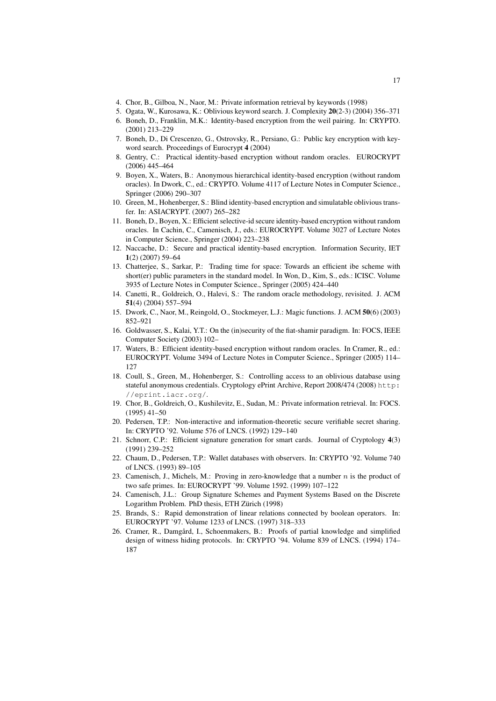- 4. Chor, B., Gilboa, N., Naor, M.: Private information retrieval by keywords (1998)
- 5. Ogata, W., Kurosawa, K.: Oblivious keyword search. J. Complexity 20(2-3) (2004) 356–371
- 6. Boneh, D., Franklin, M.K.: Identity-based encryption from the weil pairing. In: CRYPTO. (2001) 213–229
- 7. Boneh, D., Di Crescenzo, G., Ostrovsky, R., Persiano, G.: Public key encryption with keyword search. Proceedings of Eurocrypt 4 (2004)
- 8. Gentry, C.: Practical identity-based encryption without random oracles. EUROCRYPT (2006) 445–464
- 9. Boyen, X., Waters, B.: Anonymous hierarchical identity-based encryption (without random oracles). In Dwork, C., ed.: CRYPTO. Volume 4117 of Lecture Notes in Computer Science., Springer (2006) 290–307
- 10. Green, M., Hohenberger, S.: Blind identity-based encryption and simulatable oblivious transfer. In: ASIACRYPT. (2007) 265–282
- 11. Boneh, D., Boyen, X.: Efficient selective-id secure identity-based encryption without random oracles. In Cachin, C., Camenisch, J., eds.: EUROCRYPT. Volume 3027 of Lecture Notes in Computer Science., Springer (2004) 223–238
- 12. Naccache, D.: Secure and practical identity-based encryption. Information Security, IET 1(2) (2007) 59–64
- 13. Chatterjee, S., Sarkar, P.: Trading time for space: Towards an efficient ibe scheme with short(er) public parameters in the standard model. In Won, D., Kim, S., eds.: ICISC. Volume 3935 of Lecture Notes in Computer Science., Springer (2005) 424–440
- 14. Canetti, R., Goldreich, O., Halevi, S.: The random oracle methodology, revisited. J. ACM 51(4) (2004) 557–594
- 15. Dwork, C., Naor, M., Reingold, O., Stockmeyer, L.J.: Magic functions. J. ACM 50(6) (2003) 852–921
- 16. Goldwasser, S., Kalai, Y.T.: On the (in)security of the fiat-shamir paradigm. In: FOCS, IEEE Computer Society (2003) 102–
- 17. Waters, B.: Efficient identity-based encryption without random oracles. In Cramer, R., ed.: EUROCRYPT. Volume 3494 of Lecture Notes in Computer Science., Springer (2005) 114– 127
- 18. Coull, S., Green, M., Hohenberger, S.: Controlling access to an oblivious database using stateful anonymous credentials. Cryptology ePrint Archive, Report 2008/474 (2008) http: //eprint.iacr.org/.
- 19. Chor, B., Goldreich, O., Kushilevitz, E., Sudan, M.: Private information retrieval. In: FOCS. (1995) 41–50
- 20. Pedersen, T.P.: Non-interactive and information-theoretic secure verifiable secret sharing. In: CRYPTO '92. Volume 576 of LNCS. (1992) 129–140
- 21. Schnorr, C.P.: Efficient signature generation for smart cards. Journal of Cryptology 4(3) (1991) 239–252
- 22. Chaum, D., Pedersen, T.P.: Wallet databases with observers. In: CRYPTO '92. Volume 740 of LNCS. (1993) 89–105
- 23. Camenisch, J., Michels, M.: Proving in zero-knowledge that a number  $n$  is the product of two safe primes. In: EUROCRYPT '99. Volume 1592. (1999) 107–122
- 24. Camenisch, J.L.: Group Signature Schemes and Payment Systems Based on the Discrete Logarithm Problem. PhD thesis, ETH Zürich (1998)
- 25. Brands, S.: Rapid demonstration of linear relations connected by boolean operators. In: EUROCRYPT '97. Volume 1233 of LNCS. (1997) 318–333
- 26. Cramer, R., Damgård, I., Schoenmakers, B.: Proofs of partial knowledge and simplified design of witness hiding protocols. In: CRYPTO '94. Volume 839 of LNCS. (1994) 174– 187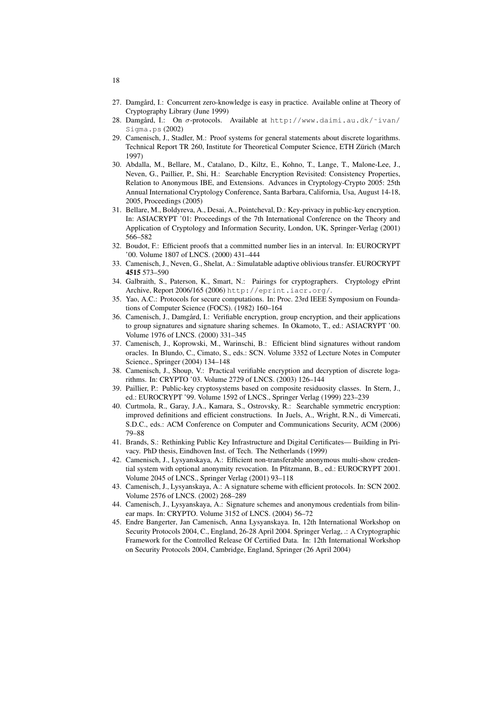- 27. Damgård, I.: Concurrent zero-knowledge is easy in practice. Available online at Theory of Cryptography Library (June 1999)
- 28. Damgård, I.: On  $\sigma$ -protocols. Available at http://www.daimi.au.dk/ $\sim$ ivan/ Sigma.ps (2002)
- 29. Camenisch, J., Stadler, M.: Proof systems for general statements about discrete logarithms. Technical Report TR 260, Institute for Theoretical Computer Science, ETH Zurich (March ¨ 1997)
- 30. Abdalla, M., Bellare, M., Catalano, D., Kiltz, E., Kohno, T., Lange, T., Malone-Lee, J., Neven, G., Paillier, P., Shi, H.: Searchable Encryption Revisited: Consistency Properties, Relation to Anonymous IBE, and Extensions. Advances in Cryptology-Crypto 2005: 25th Annual International Cryptology Conference, Santa Barbara, California, Usa, August 14-18, 2005, Proceedings (2005)
- 31. Bellare, M., Boldyreva, A., Desai, A., Pointcheval, D.: Key-privacy in public-key encryption. In: ASIACRYPT '01: Proceedings of the 7th International Conference on the Theory and Application of Cryptology and Information Security, London, UK, Springer-Verlag (2001) 566–582
- 32. Boudot, F.: Efficient proofs that a committed number lies in an interval. In: EUROCRYPT '00. Volume 1807 of LNCS. (2000) 431–444
- 33. Camenisch, J., Neven, G., Shelat, A.: Simulatable adaptive oblivious transfer. EUROCRYPT 4515 573–590
- 34. Galbraith, S., Paterson, K., Smart, N.: Pairings for cryptographers. Cryptology ePrint Archive, Report 2006/165 (2006) http://eprint.iacr.org/.
- 35. Yao, A.C.: Protocols for secure computations. In: Proc. 23rd IEEE Symposium on Foundations of Computer Science (FOCS). (1982) 160–164
- 36. Camenisch, J., Damgard, I.: Verifiable encryption, group encryption, and their applications ˚ to group signatures and signature sharing schemes. In Okamoto, T., ed.: ASIACRYPT '00. Volume 1976 of LNCS. (2000) 331–345
- 37. Camenisch, J., Koprowski, M., Warinschi, B.: Efficient blind signatures without random oracles. In Blundo, C., Cimato, S., eds.: SCN. Volume 3352 of Lecture Notes in Computer Science., Springer (2004) 134–148
- 38. Camenisch, J., Shoup, V.: Practical verifiable encryption and decryption of discrete logarithms. In: CRYPTO '03. Volume 2729 of LNCS. (2003) 126–144
- 39. Paillier, P.: Public-key cryptosystems based on composite residuosity classes. In Stern, J., ed.: EUROCRYPT '99. Volume 1592 of LNCS., Springer Verlag (1999) 223–239
- 40. Curtmola, R., Garay, J.A., Kamara, S., Ostrovsky, R.: Searchable symmetric encryption: improved definitions and efficient constructions. In Juels, A., Wright, R.N., di Vimercati, S.D.C., eds.: ACM Conference on Computer and Communications Security, ACM (2006) 79–88
- 41. Brands, S.: Rethinking Public Key Infrastructure and Digital Certificates— Building in Privacy. PhD thesis, Eindhoven Inst. of Tech. The Netherlands (1999)
- 42. Camenisch, J., Lysyanskaya, A.: Efficient non-transferable anonymous multi-show credential system with optional anonymity revocation. In Pfitzmann, B., ed.: EUROCRYPT 2001. Volume 2045 of LNCS., Springer Verlag (2001) 93–118
- 43. Camenisch, J., Lysyanskaya, A.: A signature scheme with efficient protocols. In: SCN 2002. Volume 2576 of LNCS. (2002) 268–289
- 44. Camenisch, J., Lysyanskaya, A.: Signature schemes and anonymous credentials from bilinear maps. In: CRYPTO. Volume 3152 of LNCS. (2004) 56–72
- 45. Endre Bangerter, Jan Camenisch, Anna Lysyanskaya. In, 12th International Workshop on Security Protocols 2004, C., England, 26-28 April 2004. Springer Verlag, .: A Cryptographic Framework for the Controlled Release Of Certified Data. In: 12th International Workshop on Security Protocols 2004, Cambridge, England, Springer (26 April 2004)

18